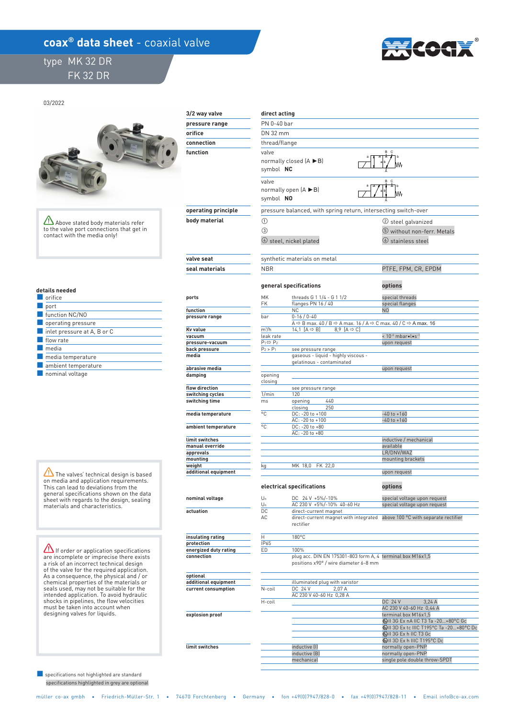## **coax<sup>®</sup> data sheet** - coaxial valve

## type MK 32 DR FK 32 DR



03/2022



Above stated body materials refer to the valve port connections that get in contact with the media only!

| details needed |  |
|----------------|--|
|----------------|--|

| orifice                                    |
|--------------------------------------------|
| port                                       |
| function NC/NO                             |
| operating pressure                         |
| $\blacksquare$ inlet pressure at A, B or C |
| flow rate                                  |
| media                                      |
| media temperature                          |
| ambient temperature                        |
| .                                          |

■ nominal voltage

 $\sqrt{N}$  The valves' technical design is based on media and application requirements. This can lead to deviations from the general specifications shown on the data sheet with regards to the design, sealing materials and characteristics.

**If order or application specifications** are incomplete or imprecise there exists a risk of an incorrect technical design of the valve for the required application. As a consequence, the physical and / or chemical properties of the materials or seals used, may not be suitable for the intended application. To avoid hydraulic shocks in pipelines, the flow velocities must be taken into account when designing valves for liquids.

specifications highlighted in grey are op ■ specifications not highlighted are standa

| 3/2 way valve                      | direct acting             |                                                                                                                               |                                                          |  |  |
|------------------------------------|---------------------------|-------------------------------------------------------------------------------------------------------------------------------|----------------------------------------------------------|--|--|
| pressure range                     | PN 0-40 bar               |                                                                                                                               |                                                          |  |  |
| orifice                            | DN 32 mm                  |                                                                                                                               |                                                          |  |  |
| connection                         | thread/flange             |                                                                                                                               |                                                          |  |  |
| function                           | valve<br>symbol NC        | normally closed $(A \triangleright B)$                                                                                        |                                                          |  |  |
|                                    | valve<br>symbol NO        | normally open $(A \triangleright B)$                                                                                          |                                                          |  |  |
| operating principle                |                           | pressure balanced, with spring return, intersecting switch-over                                                               |                                                          |  |  |
| body material                      | ➀                         |                                                                                                                               | (2) steel galvanized                                     |  |  |
|                                    | $\circled{3}$             | 4 steel, nickel plated                                                                                                        | 5 without non-ferr. Metals<br><b>(6)</b> stainless steel |  |  |
| valve seat                         |                           | synthetic materials on metal                                                                                                  |                                                          |  |  |
| seal materials                     | <b>NBR</b>                |                                                                                                                               | PTFE, FPM, CR, EPDM                                      |  |  |
| ports                              | MK                        | general specifications<br>threads G 1 1/4 - G 1 1/2                                                                           | options<br>special threads                               |  |  |
| function                           | <b>FK</b>                 | flanges PN 16 / 40<br><b>NC</b>                                                                                               | special flanges<br>N <sub>O</sub>                        |  |  |
| pressure range                     | bar                       | $0 - 16 / 0 - 40$                                                                                                             |                                                          |  |  |
|                                    |                           | A $\Leftrightarrow$ B max. 40 / B $\Leftrightarrow$ A max. 16 / A $\Leftrightarrow$ C max. 40 / C $\Leftrightarrow$ A max. 16 |                                                          |  |  |
| Kv value<br>vacuum                 | $m^3/h$<br>leak rate      | 14.1 $[A \Leftrightarrow B]$<br>8.9 $[A \Rightarrow C]$                                                                       | < 10-6 mbar.l.s-1                                        |  |  |
| pressure-vacuum                    | $P_1 \Leftrightarrow P_2$ |                                                                                                                               | upon request                                             |  |  |
| back pressure                      | $P_2 > P_1$               | see pressure range                                                                                                            |                                                          |  |  |
| media                              |                           | gaseous - liquid - highly viscous -<br>gelatinous - contaminated                                                              |                                                          |  |  |
| abrasive media                     |                           |                                                                                                                               | upon request                                             |  |  |
| damping                            | opening<br>closing        |                                                                                                                               |                                                          |  |  |
| flow direction<br>switching cycles | 1/min                     | see pressure range<br>120                                                                                                     |                                                          |  |  |
| switching time                     | ms                        | 440<br>opening                                                                                                                |                                                          |  |  |
| media temperature                  | °C                        | 250<br>closing<br>DC: - 20 to +100                                                                                            | $-40$ to $+160$                                          |  |  |
|                                    | °C                        | AC: -20 to +100<br>DC: -20 to +80                                                                                             | $-40$ to $+160$                                          |  |  |
| ambient temperature                |                           | AC: - 20 to +80                                                                                                               |                                                          |  |  |
| limit switches                     |                           |                                                                                                                               | inductive / mechanical                                   |  |  |
| manual override                    |                           |                                                                                                                               | available                                                |  |  |
| approvals                          |                           |                                                                                                                               | LR/DNV/WAZ                                               |  |  |
| mounting                           |                           |                                                                                                                               | mounting brackets                                        |  |  |
| weight<br>additional equipment     | kg                        | MK 18,0 FK 22,0                                                                                                               | upon request                                             |  |  |
|                                    |                           | electrical specifications                                                                                                     | options                                                  |  |  |
| nominal voltage                    | $U_n$                     | DC 24 V +5%/-10%                                                                                                              | special voltage upon request                             |  |  |
|                                    | Un                        | AC 230 V +5%/-10% 40-60 Hz                                                                                                    | special voltage upon request                             |  |  |
| actuation                          | <b>DC</b>                 | direct-current magnet                                                                                                         |                                                          |  |  |
|                                    | AC                        | direct-current magnet with integrated                                                                                         | above 100 °C with separate rectifier                     |  |  |

 **insulating rating protection energized duty rating connection** 

 **optional additional equipment current consumption** 

 **explosion proof** 

 **limit switches** 

|        | illuminated plug with varistor |                          |                                              |
|--------|--------------------------------|--------------------------|----------------------------------------------|
| N-coil | DC 24 V<br>2.07 A              |                          |                                              |
|        | AC 230 V 40-60 Hz 0.28 A       |                          |                                              |
| H-coil |                                | DC 24 V                  | 3.24A                                        |
|        |                                | AC 230 V 40-60 Hz 0.44 A |                                              |
|        |                                | terminal box M16x1.5     |                                              |
|        |                                |                          | <b>Ex) II 3G Ex nA IIC T3 Ta -20+80°C Gc</b> |

inductive (I) normally open-PNP<br>inductive (B) normally open-PNP<br>normally open-PNP

mechanical single pole double throw-SPDT

positions x90° / wire diameter 6-8 mm

plug acc. DIN EN 175301-803 form A, 4 terminal box M16x1,5

**©**II 3D Ex tc IIIC T195°C Ta -20…+80°C Dc<br>ⓒII 3G Ex h IIC T3 Gc<br>ⓒII 3D Ex h IIIC T195°C Dc

normally open-PNP

| aro     |  |
|---------|--|
| itional |  |

H 180°C

rectifier

ED 100%

IP65